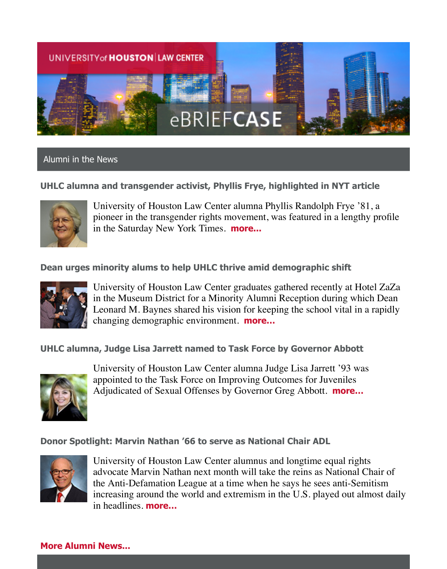

## Alumni in the News

### **UHLC alumna and transgender activist, Phyllis Frye, highlighted in NYT article**



University of Houston Law Center alumna Phyllis Randolph Frye '81, a pioneer in the transgender rights movement, was featured in a lengthy profile in the Saturday New York Times. **[more...](http://uhouston.imodules.com/redirect.aspx?linkID=33985&eid=%5BMEMBER_ID_HERE%5D)**

### **Dean urges minority alums to help UHLC thrive amid demographic shift**



University of Houston Law Center graduates gathered recently at Hotel ZaZa in the Museum District for a Minority Alumni Reception during which Dean Leonard M. Baynes shared his vision for keeping the school vital in a rapidly changing demographic environment. **[more…](http://uhouston.imodules.com/redirect.aspx?linkID=33984&eid=%5BMEMBER_ID_HERE%5D)**

### **UHLC alumna, Judge Lisa Jarrett named to Task Force by Governor Abbott**



University of Houston Law Center alumna Judge Lisa Jarrett '93 was appointed to the Task Force on Improving Outcomes for Juveniles Adjudicated of Sexual Offenses by Governor Greg Abbott. **[more…](http://uhouston.imodules.com/redirect.aspx?linkID=33983&eid=%5BMEMBER_ID_HERE%5D)**

### **Donor Spotlight: Marvin Nathan '66 to serve as National Chair ADL**



University of Houston Law Center alumnus and longtime equal rights advocate Marvin Nathan next month will take the reins as National Chair of the Anti-Defamation League at a time when he says he sees anti-Semitism increasing around the world and extremism in the U.S. played out almost daily in headlines. **[more…](http://uhouston.imodules.com/redirect.aspx?linkID=33982&eid=%5BMEMBER_ID_HERE%5D)**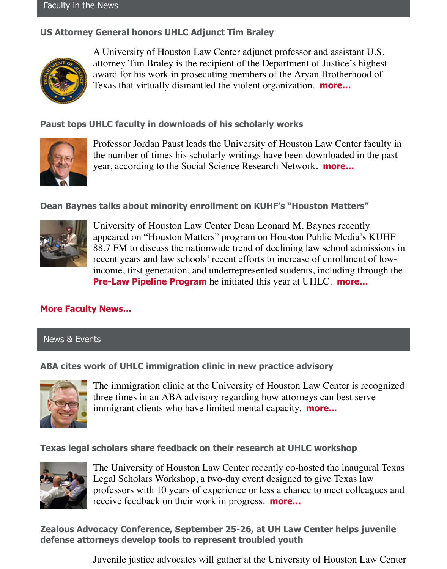# **US Attorney General honors UHLC Adjunct Tim Braley**



A University of Houston Law Center adjunct professor and assistant U.S. attorney Tim Braley is the recipient of the Department of Justice's highest award for his work in prosecuting members of the Aryan Brotherhood of Texas that virtually dismantled the violent organization. **[more…](http://uhouston.imodules.com/redirect.aspx?linkID=33980&eid=%5BMEMBER_ID_HERE%5D)**

### **Paust tops UHLC faculty in downloads of his scholarly works**



Professor Jordan Paust leads the University of Houston Law Center faculty in the number of times his scholarly writings have been downloaded in the past year, according to the Social Science Research Network. **[more…](http://uhouston.imodules.com/redirect.aspx?linkID=33979&eid=%5BMEMBER_ID_HERE%5D)**

### **Dean Baynes talks about minority enrollment on KUHF's "Houston Matters"**



University of Houston Law Center Dean Leonard M. Baynes recently appeared on "Houston Matters" program on Houston Public Media's KUHF 88.7 FM to discuss the nationwide trend of declining law school admissions in recent years and law schools' recent efforts to increase of enrollment of lowincome, first generation, and underrepresented students, including through the **[Pre-Law Pipeline Program](http://uhouston.imodules.com/redirect.aspx?linkID=33978&eid=%5BMEMBER_ID_HERE%5D)** he initiated this year at UHLC. **[more…](http://uhouston.imodules.com/redirect.aspx?linkID=33977&eid=%5BMEMBER_ID_HERE%5D)**

## **[More Faculty News...](http://uhouston.imodules.com/redirect.aspx?linkID=33976&eid=%5BMEMBER_ID_HERE%5D)**

### News & Events

## **ABA cites work of UHLC immigration clinic in new practice advisory**



The immigration clinic at the University of Houston Law Center is recognized three times in an ABA advisory regarding how attorneys can best serve immigrant clients who have limited mental capacity. **[more...](http://uhouston.imodules.com/redirect.aspx?linkID=33975&eid=%5BMEMBER_ID_HERE%5D)**

### **Texas legal scholars share feedback on their research at UHLC workshop**



The University of Houston Law Center recently co-hosted the inaugural Texas Legal Scholars Workshop, a two-day event designed to give Texas law professors with 10 years of experience or less a chance to meet colleagues and receive feedback on their work in progress. **[more…](http://uhouston.imodules.com/redirect.aspx?linkID=33974&eid=%5BMEMBER_ID_HERE%5D)**

**Zealous Advocacy Conference, September 25-26, at UH Law Center helps juvenile defense attorneys develop tools to represent troubled youth**

Juvenile justice advocates will gather at the University of Houston Law Center